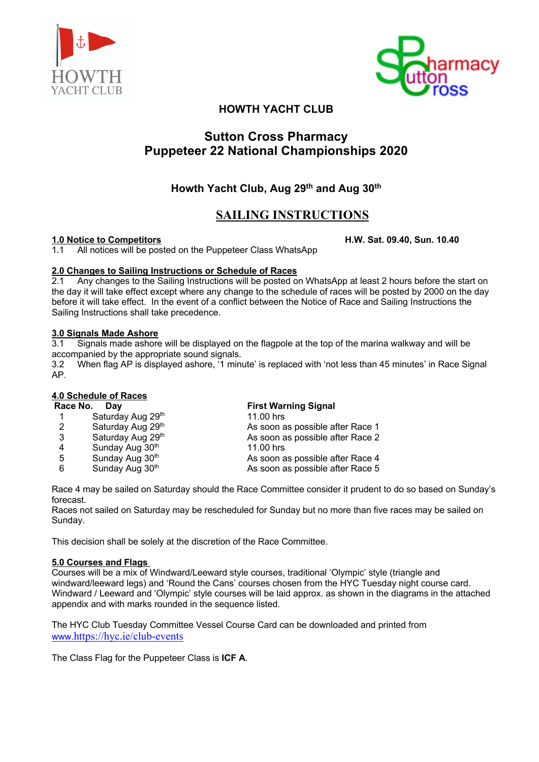



# **HOWTH YACHT CLUB**

# **Sutton Cross Pharmacy Puppeteer 22 National Championships 2020**

# **Howth Yacht Club, Aug 29th and Aug 30th**

# **SAILING INSTRUCTIONS**

**1.0 Notice to Competitors H.W. Sat. 09.40, Sun. 10.40** 1.1 All notices will be posted on the Puppeteer Class WhatsApp

**2.0 Changes to Sailing Instructions or Schedule of Races** 2.1 Any changes to the Sailing Instructions will be posted on WhatsApp at least 2 hours before the start on the day it will take effect except where any change to the schedule of races will be posted by 2000 on the day before it will take effect. In the event of a conflict between the Notice of Race and Sailing Instructions the Sailing Instructions shall take precedence.

# **3.0 Signals Made Ashore**

3.1 Signals made ashore will be displayed on the flagpole at the top of the marina walkway and will be accompanied by the appropriate sound signals.

3.2 When flag AP is displayed ashore, '1 minute' is replaced with 'not less than 45 minutes' in Race Signal AP*.*

# **4.0 Schedule of Races**

| Race No.<br>Dav |                   | <b>First Warning Signal</b>      |  |
|-----------------|-------------------|----------------------------------|--|
|                 | Saturday Aug 29th | $11.00$ hrs                      |  |
| 2               | Saturday Aug 29th | As soon as possible after Race 1 |  |
| 3               | Saturday Aug 29th | As soon as possible after Race 2 |  |
| 4               | Sunday Aug 30th   | $11.00$ hrs                      |  |
| 5               | Sunday Aug 30th   | As soon as possible after Race 4 |  |
| 6               | Sunday Aug 30th   | As soon as possible after Race 5 |  |

Race 4 may be sailed on Saturday should the Race Committee consider it prudent to do so based on Sunday's forecast.

Races not sailed on Saturday may be rescheduled for Sunday but no more than five races may be sailed on Sunday.

This decision shall be solely at the discretion of the Race Committee.

# **5.0 Courses and Flags**

Courses will be a mix of Windward/Leeward style courses, traditional 'Olympic' style (triangle and windward/leeward legs) and 'Round the Cans' courses chosen from the HYC Tuesday night course card. Windward / Leeward and 'Olympic' style courses will be laid approx. as shown in the diagrams in the attached appendix and with marks rounded in the sequence listed.

The HYC Club Tuesday Committee Vessel Course Card can be downloaded and printed from www.https://hyc.ie/club-events

The Class Flag for the Puppeteer Class is **ICF A**.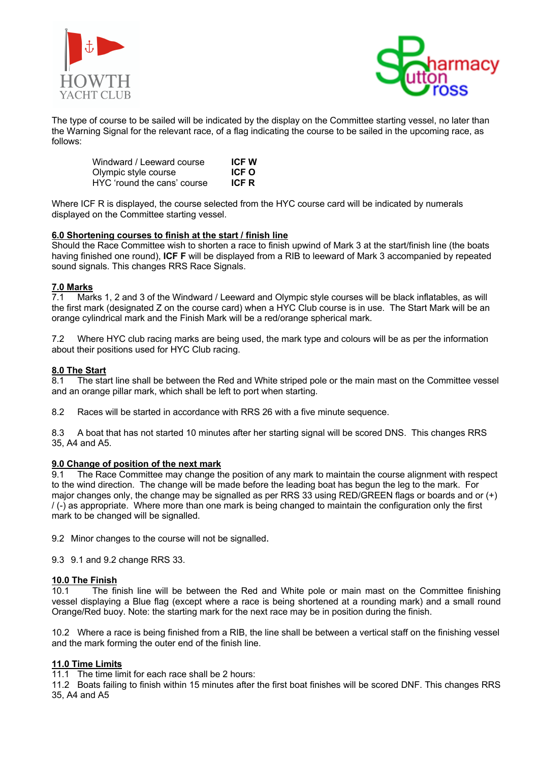



The type of course to be sailed will be indicated by the display on the Committee starting vessel, no later than the Warning Signal for the relevant race, of a flag indicating the course to be sailed in the upcoming race, as follows:

| Windward / Leeward course   | <b>ICFW</b>  |
|-----------------------------|--------------|
| Olympic style course        | ICF O        |
| HYC 'round the cans' course | <b>ICF R</b> |

Where ICF R is displayed, the course selected from the HYC course card will be indicated by numerals displayed on the Committee starting vessel.

# **6.0 Shortening courses to finish at the start / finish line**

Should the Race Committee wish to shorten a race to finish upwind of Mark 3 at the start/finish line (the boats having finished one round), **ICF F** will be displayed from a RIB to leeward of Mark 3 accompanied by repeated sound signals. This changes RRS Race Signals.

# **7.0 Marks**

7.1 Marks 1, 2 and 3 of the Windward / Leeward and Olympic style courses will be black inflatables, as will the first mark (designated Z on the course card) when a HYC Club course is in use. The Start Mark will be an orange cylindrical mark and the Finish Mark will be a red/orange spherical mark.

7.2 Where HYC club racing marks are being used, the mark type and colours will be as per the information about their positions used for HYC Club racing.

## **8.0 The Start**

8.1 The start line shall be between the Red and White striped pole or the main mast on the Committee vessel and an orange pillar mark, which shall be left to port when starting.

8.2 Races will be started in accordance with RRS 26 with a five minute sequence.

8.3 A boat that has not started 10 minutes after her starting signal will be scored DNS. This changes RRS 35, A4 and A5.

### **9.0 Change of position of the next mark**

9.1 The Race Committee may change the position of any mark to maintain the course alignment with respect to the wind direction. The change will be made before the leading boat has begun the leg to the mark. For major changes only, the change may be signalled as per RRS 33 using RED/GREEN flags or boards and or (+) / (-) as appropriate. Where more than one mark is being changed to maintain the configuration only the first mark to be changed will be signalled.

9.2 Minor changes to the course will not be signalled.

9.3 9.1 and 9.2 change RRS 33.

## **10.0 The Finish**

 10.1 The finish line will be between the Red and White pole or main mast on the Committee finishing vessel displaying a Blue flag (except where a race is being shortened at a rounding mark) and a small round Orange/Red buoy. Note: the starting mark for the next race may be in position during the finish.

10.2 Where a race is being finished from a RIB, the line shall be between a vertical staff on the finishing vessel and the mark forming the outer end of the finish line.

# **11.0 Time Limits**

11.1 The time limit for each race shall be 2 hours:

11.2 Boats failing to finish within 15 minutes after the first boat finishes will be scored DNF. This changes RRS 35, A4 and A5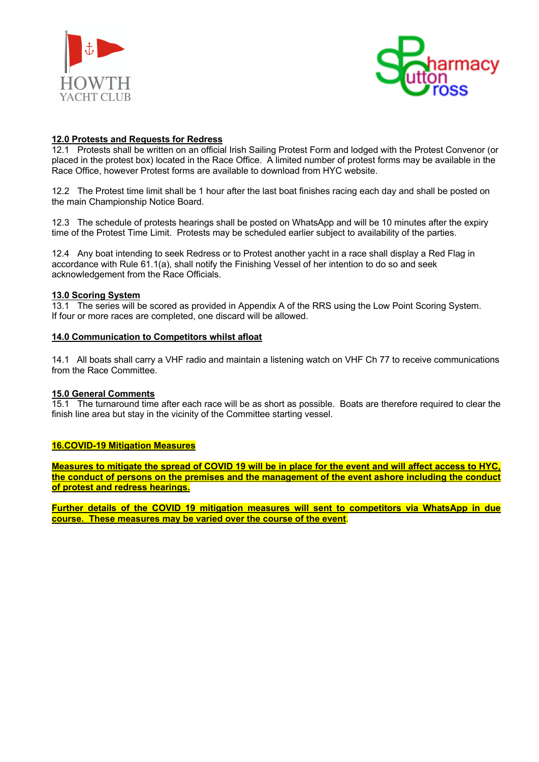



# **12.0 Protests and Requests for Redress**

12.1 Protests shall be written on an official Irish Sailing Protest Form and lodged with the Protest Convenor (or placed in the protest box) located in the Race Office. A limited number of protest forms may be available in the Race Office, however Protest forms are available to download from HYC website.

12.2 The Protest time limit shall be 1 hour after the last boat finishes racing each day and shall be posted on the main Championship Notice Board.

12.3 The schedule of protests hearings shall be posted on WhatsApp and will be 10 minutes after the expiry time of the Protest Time Limit. Protests may be scheduled earlier subject to availability of the parties.

12.4 Any boat intending to seek Redress or to Protest another yacht in a race shall display a Red Flag in accordance with Rule 61.1(a), shall notify the Finishing Vessel of her intention to do so and seek acknowledgement from the Race Officials.

# **13.0 Scoring System**

13.1 The series will be scored as provided in Appendix A of the RRS using the Low Point Scoring System. If four or more races are completed, one discard will be allowed.

## **14.0 Communication to Competitors whilst afloat**

14.1 All boats shall carry a VHF radio and maintain a listening watch on VHF Ch 77 to receive communications from the Race Committee.

# **15.0 General Comments**

15.1 The turnaround time after each race will be as short as possible. Boats are therefore required to clear the finish line area but stay in the vicinity of the Committee starting vessel.

# **16.COVID-19 Mitigation Measures**

**Measures to mitigate the spread of COVID 19 will be in place for the event and will affect access to HYC, the conduct of persons on the premises and the management of the event ashore including the conduct of protest and redress hearings.**

**Further details of the COVID 19 mitigation measures will sent to competitors via WhatsApp in due course. These measures may be varied over the course of the event**.